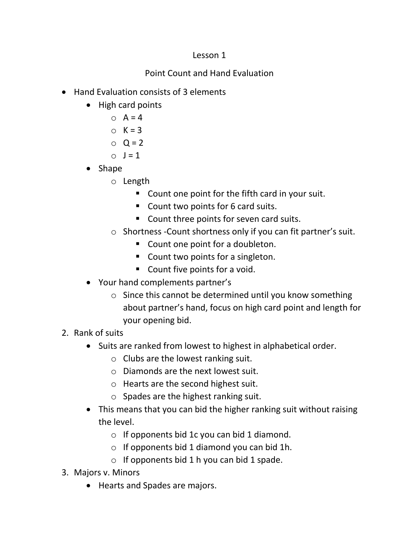## Lesson 1

## Point Count and Hand Evaluation

- Hand Evaluation consists of 3 elements
	- High card points
		- $\circ$  A = 4
		- $\circ$  K = 3
		- $Q = 2$
		- $\circ$   $I = 1$
	- Shape
		- o Length
			- Count one point for the fifth card in your suit.
			- Count two points for 6 card suits.
			- Count three points for seven card suits.
		- o Shortness -Count shortness only if you can fit partner's suit.
			- Count one point for a doubleton.
			- Count two points for a singleton.
			- Count five points for a void.
	- Your hand complements partner's
		- o Since this cannot be determined until you know something about partner's hand, focus on high card point and length for your opening bid.
- 2. Rank of suits
	- Suits are ranked from lowest to highest in alphabetical order.
		- o Clubs are the lowest ranking suit.
		- o Diamonds are the next lowest suit.
		- o Hearts are the second highest suit.
		- $\circ$  Spades are the highest ranking suit.
	- This means that you can bid the higher ranking suit without raising the level.
		- $\circ$  If opponents bid 1c you can bid 1 diamond.
		- $\circ$  If opponents bid 1 diamond you can bid 1h.
		- $\circ$  If opponents bid 1 h you can bid 1 spade.
- 3. Majors v. Minors
	- Hearts and Spades are majors.